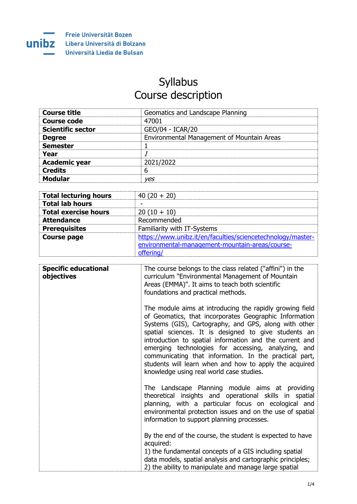

## **Syllabus** Course description

| <b>Course title</b>      | Geomatics and Landscape Planning           |
|--------------------------|--------------------------------------------|
| Course code              | 47001                                      |
| <b>Scientific sector</b> | GEO/04 - ICAR/20                           |
| <b>Degree</b>            | Environmental Management of Mountain Areas |
| <b>Semester</b>          |                                            |
| Year                     |                                            |
| <b>Academic year</b>     | 2021/2022                                  |
| <b>Credits</b>           | 6                                          |
| <b>Modular</b>           | ves                                        |

| <b>Total lecturing hours</b> | $40(20 + 20)$                                                                                                               |
|------------------------------|-----------------------------------------------------------------------------------------------------------------------------|
| <b>Total lab hours</b>       |                                                                                                                             |
| <b>Total exercise hours</b>  | $20(10 + 10)$                                                                                                               |
| <b>Attendance</b>            | Recommended                                                                                                                 |
| <b>Prerequisites</b>         | Familiarity with IT-Systems                                                                                                 |
| <b>Course page</b>           | https://www.unibz.it/en/faculties/sciencetechnology/master-<br>environmental-management-mountain-areas/course-<br>offering/ |

| <b>Specific educational</b><br>objectives | The course belongs to the class related ("affini") in the<br>curriculum "Environmental Management of Mountain<br>Areas (EMMA)". It aims to teach both scientific<br>foundations and practical methods.                                                                                                                                                                                                                                                                                                                |
|-------------------------------------------|-----------------------------------------------------------------------------------------------------------------------------------------------------------------------------------------------------------------------------------------------------------------------------------------------------------------------------------------------------------------------------------------------------------------------------------------------------------------------------------------------------------------------|
|                                           | The module aims at introducing the rapidly growing field<br>of Geomatics, that incorporates Geographic Information<br>Systems (GIS), Cartography, and GPS, along with other<br>spatial sciences. It is designed to give students an<br>introduction to spatial information and the current and<br>emerging technologies for accessing, analyzing, and<br>communicating that information. In the practical part,<br>students will learn when and how to apply the acquired<br>knowledge using real world case studies. |
|                                           | The Landscape Planning module aims at providing<br>theoretical insights and operational skills in spatial<br>planning, with a particular focus on ecological and<br>environmental protection issues and on the use of spatial<br>information to support planning processes.                                                                                                                                                                                                                                           |
|                                           | By the end of the course, the student is expected to have<br>acquired:<br>1) the fundamental concepts of a GIS including spatial<br>data models, spatial analysis and cartographic principles;<br>2) the ability to manipulate and manage large spatial                                                                                                                                                                                                                                                               |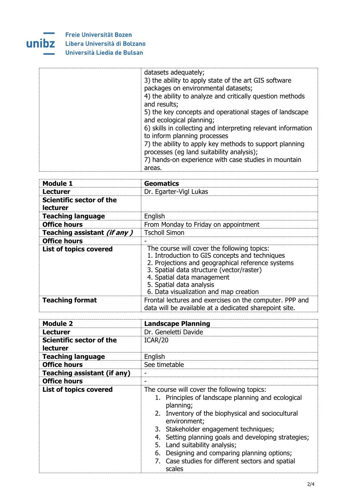## **Freie Universität Bozen**



÷ ÷

## **UNIDZ** Libera Università di Bolzano Università Liedia de Bulsan

| datasets adequately;<br>3) the ability to apply state of the art GIS software<br>packages on environmental datasets;<br>4) the ability to analyze and critically question methods<br>and results; |
|---------------------------------------------------------------------------------------------------------------------------------------------------------------------------------------------------|
| 5) the key concepts and operational stages of landscape<br>and ecological planning;                                                                                                               |
| 6) skills in collecting and interpreting relevant information<br>to inform planning processes                                                                                                     |
| 7) the ability to apply key methods to support planning<br>processes (eq land suitability analysis);                                                                                              |
| 7) hands-on experience with case studies in mountain                                                                                                                                              |
| areas.                                                                                                                                                                                            |

| <b>Module 1</b>                             | <b>Geomatics</b>                                                                                                                                                                                                                                                                                    |
|---------------------------------------------|-----------------------------------------------------------------------------------------------------------------------------------------------------------------------------------------------------------------------------------------------------------------------------------------------------|
| <b>Lecturer</b>                             | Dr. Egarter-Vigl Lukas                                                                                                                                                                                                                                                                              |
| Scientific sector of the<br><b>lecturer</b> |                                                                                                                                                                                                                                                                                                     |
| <b>Teaching language</b>                    | English                                                                                                                                                                                                                                                                                             |
| <b>Office hours</b>                         | From Monday to Friday on appointment                                                                                                                                                                                                                                                                |
| Teaching assistant (if any)                 | <b>Tscholl Simon</b>                                                                                                                                                                                                                                                                                |
| <b>Office hours</b>                         |                                                                                                                                                                                                                                                                                                     |
| <b>List of topics covered</b>               | The course will cover the following topics:<br>1. Introduction to GIS concepts and techniques<br>2. Projections and geographical reference systems<br>3. Spatial data structure (vector/raster)<br>4. Spatial data management<br>5. Spatial data analysis<br>6. Data visualization and map creation |
| <b>Teaching format</b>                      | Frontal lectures and exercises on the computer. PPP and<br>data will be available at a dedicated sharepoint site.                                                                                                                                                                                   |

| Module 2                                    | <b>Landscape Planning</b>                                                                                                                                                                                                                                                                                                                                                                                                            |
|---------------------------------------------|--------------------------------------------------------------------------------------------------------------------------------------------------------------------------------------------------------------------------------------------------------------------------------------------------------------------------------------------------------------------------------------------------------------------------------------|
| <b>Lecturer</b>                             | Dr. Geneletti Davide                                                                                                                                                                                                                                                                                                                                                                                                                 |
| Scientific sector of the<br><b>lecturer</b> | ICAR/20                                                                                                                                                                                                                                                                                                                                                                                                                              |
| <b>Teaching language</b>                    | English                                                                                                                                                                                                                                                                                                                                                                                                                              |
| <b>Office hours</b>                         | See timetable                                                                                                                                                                                                                                                                                                                                                                                                                        |
| Teaching assistant (if any)                 | -                                                                                                                                                                                                                                                                                                                                                                                                                                    |
| <b>Office hours</b>                         | -                                                                                                                                                                                                                                                                                                                                                                                                                                    |
| <b>List of topics covered</b>               | The course will cover the following topics:<br>1. Principles of landscape planning and ecological<br>planning;<br>2. Inventory of the biophysical and sociocultural<br>environment;<br>3. Stakeholder engagement techniques;<br>4. Setting planning goals and developing strategies;<br>5. Land suitability analysis;<br>6. Designing and comparing planning options;<br>7. Case studies for different sectors and spatial<br>scales |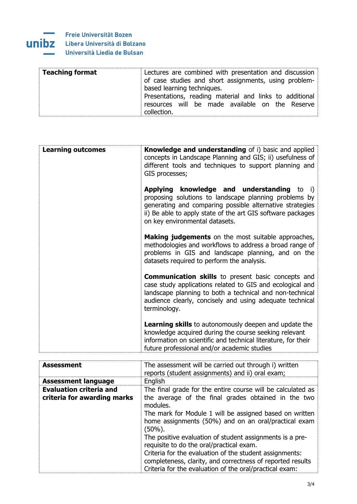

| <b>Teaching format</b><br>Lectures are combined with presentation and discussion<br>of case studies and short assignments, using problem-<br>based learning techniques.<br>Presentations, reading material and links to additional<br>resources will be made available on the Reserve<br>collection. |
|------------------------------------------------------------------------------------------------------------------------------------------------------------------------------------------------------------------------------------------------------------------------------------------------------|
|------------------------------------------------------------------------------------------------------------------------------------------------------------------------------------------------------------------------------------------------------------------------------------------------------|

| <b>Learning outcomes</b> | <b>Knowledge and understanding</b> of i) basic and applied<br>concepts in Landscape Planning and GIS; ii) usefulness of<br>different tools and techniques to support planning and<br>GIS processes;                                                                     |
|--------------------------|-------------------------------------------------------------------------------------------------------------------------------------------------------------------------------------------------------------------------------------------------------------------------|
|                          | <b>Applying knowledge and understanding to i)</b><br>proposing solutions to landscape planning problems by<br>generating and comparing possible alternative strategies<br>ii) Be able to apply state of the art GIS software packages<br>on key environmental datasets. |
|                          | <b>Making judgements</b> on the most suitable approaches,<br>methodologies and workflows to address a broad range of<br>problems in GIS and landscape planning, and on the<br>datasets required to perform the analysis.                                                |
|                          | <b>Communication skills</b> to present basic concepts and<br>case study applications related to GIS and ecological and<br>landscape planning to both a technical and non-technical<br>audience clearly, concisely and using adequate technical<br>terminology.          |
|                          | <b>Learning skills</b> to autonomously deepen and update the<br>knowledge acquired during the course seeking relevant<br>information on scientific and technical literature, for their<br>future professional and/or academic studies                                   |

| <b>Assessment</b>                                             | The assessment will be carried out through i) written<br>reports (student assignments) and ii) oral exam;                                                                        |
|---------------------------------------------------------------|----------------------------------------------------------------------------------------------------------------------------------------------------------------------------------|
| <b>Assessment language</b>                                    | English                                                                                                                                                                          |
| <b>Evaluation criteria and</b><br>criteria for awarding marks | The final grade for the entire course will be calculated as<br>the average of the final grades obtained in the two<br>modules.                                                   |
|                                                               | The mark for Module 1 will be assigned based on written<br>home assignments (50%) and on an oral/practical exam<br>(50%).                                                        |
|                                                               | The positive evaluation of student assignments is a pre-<br>requisite to do the oral/practical exam.                                                                             |
|                                                               | Criteria for the evaluation of the student assignments:<br>completeness, clarity, and correctness of reported results<br>Criteria for the evaluation of the oral/practical exam: |